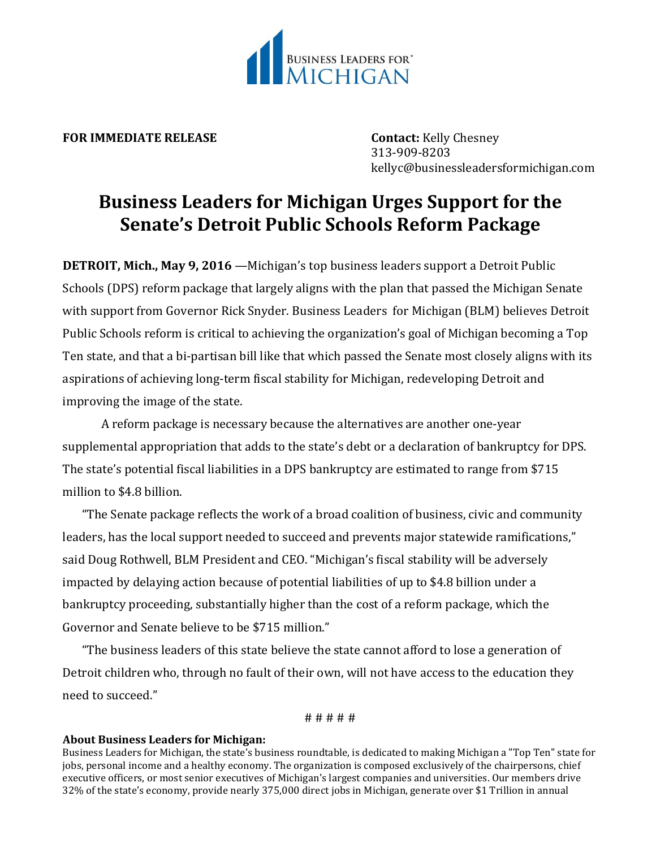

**FOR IMMEDIATE RELEASE Contact:** Kelly Chesney

313-909-8203 kellyc@businessleadersformichigan.com

## **Business Leaders for Michigan Urges Support for the Senate's Detroit Public Schools Reform Package**

**DETROIT, Mich., May 9, 2016** —Michigan's top business leaders support a Detroit Public Schools (DPS) reform package that largely aligns with the plan that passed the Michigan Senate with support from Governor Rick Snyder. Business Leaders for Michigan (BLM) believes Detroit Public Schools reform is critical to achieving the organization's goal of Michigan becoming a Top Ten state, and that a bi-partisan bill like that which passed the Senate most closely aligns with its aspirations of achieving long-term fiscal stability for Michigan, redeveloping Detroit and improving the image of the state.

A reform package is necessary because the alternatives are another one-year supplemental appropriation that adds to the state's debt or a declaration of bankruptcy for DPS. The state's potential fiscal liabilities in a DPS bankruptcy are estimated to range from \$715 million to \$4.8 billion.

"The Senate package reflects the work of a broad coalition of business, civic and community leaders, has the local support needed to succeed and prevents major statewide ramifications," said Doug Rothwell, BLM President and CEO. "Michigan's fiscal stability will be adversely impacted by delaying action because of potential liabilities of up to \$4.8 billion under a bankruptcy proceeding, substantially higher than the cost of a reform package, which the Governor and Senate believe to be \$715 million."

"The business leaders of this state believe the state cannot afford to lose a generation of Detroit children who, through no fault of their own, will not have access to the education they need to succeed."

# # # # #

## **About Business Leaders for Michigan:**

Business Leaders for Michigan, the state's business roundtable, is dedicated to making Michigan a "Top Ten" state for jobs, personal income and a healthy economy. The organization is composed exclusively of the chairpersons, chief executive officers, or most senior executives of Michigan's largest companies and universities. Our members drive 32% of the state's economy, provide nearly 375,000 direct jobs in Michigan, generate over \$1 Trillion in annual